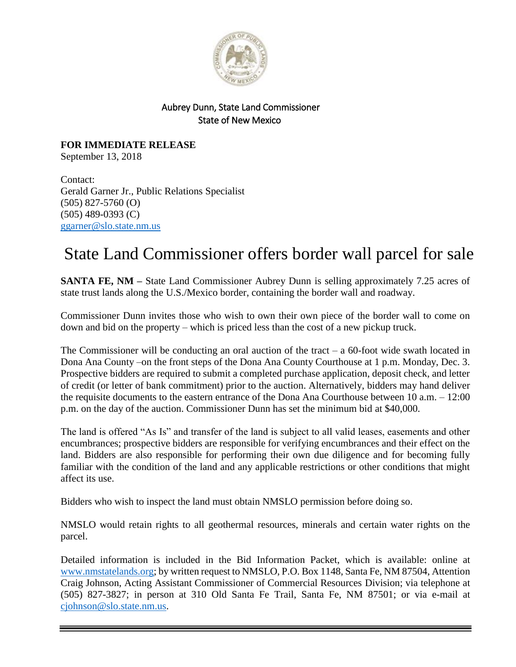

## Aubrey Dunn, State Land Commissioner State of New Mexico

**FOR IMMEDIATE RELEASE** September 13, 2018

Contact: Gerald Garner Jr., Public Relations Specialist (505) 827-5760 (O) (505) 489-0393 (C) [ggarner@slo.state.nm.us](mailto:ggarner@slo.state.nm.us)

## State Land Commissioner offers border wall parcel for sale

**SANTA FE, NM** – State Land Commissioner Aubrey Dunn is selling approximately 7.25 acres of state trust lands along the U.S./Mexico border, containing the border wall and roadway.

Commissioner Dunn invites those who wish to own their own piece of the border wall to come on down and bid on the property – which is priced less than the cost of a new pickup truck.

The Commissioner will be conducting an oral auction of the tract  $-$  a 60-foot wide swath located in Dona Ana County –on the front steps of the Dona Ana County Courthouse at 1 p.m. Monday, Dec. 3. Prospective bidders are required to submit a completed purchase application, deposit check, and letter of credit (or letter of bank commitment) prior to the auction. Alternatively, bidders may hand deliver the requisite documents to the eastern entrance of the Dona Ana Courthouse between 10 a.m. – 12:00 p.m. on the day of the auction. Commissioner Dunn has set the minimum bid at \$40,000.

The land is offered "As Is" and transfer of the land is subject to all valid leases, easements and other encumbrances; prospective bidders are responsible for verifying encumbrances and their effect on the land. Bidders are also responsible for performing their own due diligence and for becoming fully familiar with the condition of the land and any applicable restrictions or other conditions that might affect its use.

Bidders who wish to inspect the land must obtain NMSLO permission before doing so.

NMSLO would retain rights to all geothermal resources, minerals and certain water rights on the parcel.

Detailed information is included in the Bid Information Packet, which is available: online at [www.nmstatelands.org;](http://www.nmstatelands.org/) by written request to NMSLO, P.O. Box 1148, Santa Fe, NM 87504, Attention Craig Johnson, Acting Assistant Commissioner of Commercial Resources Division; via telephone at (505) 827-3827; in person at 310 Old Santa Fe Trail, Santa Fe, NM 87501; or via e-mail at [cjohnson@slo.state.nm.us.](mailto:cjohnson@slo.state.nm.us)